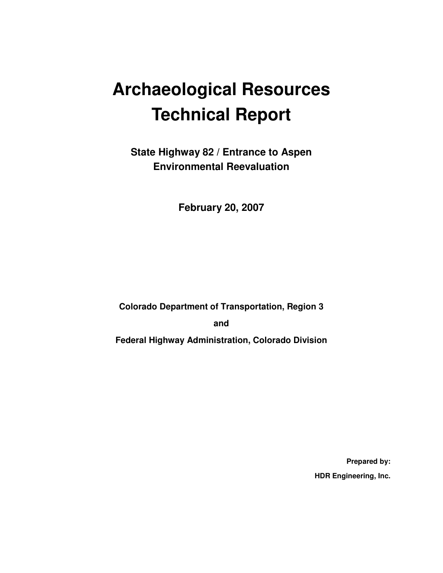# **Archaeological Resources Technical Report**

**State Highway 82 / Entrance to Aspen Environmental Reevaluation** 

**February 20, 2007** 

**Colorado Department of Transportation, Region 3** 

**and** 

**Federal Highway Administration, Colorado Division** 

**Prepared by: HDR Engineering, Inc.**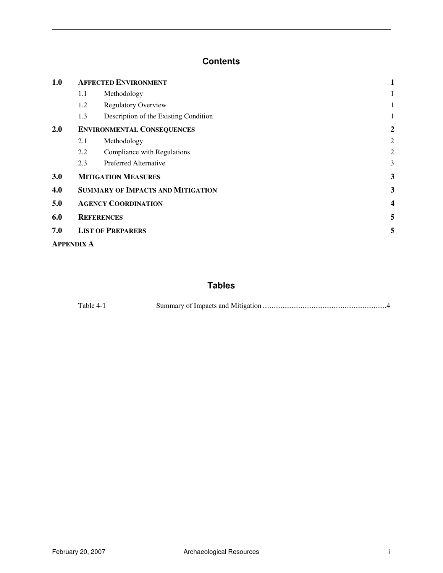#### **Contents**

| 1.0 | <b>AFFECTED ENVIRONMENT</b>              |                                       |                |
|-----|------------------------------------------|---------------------------------------|----------------|
|     | Methodology<br>1.1                       |                                       |                |
|     | 1.2                                      | <b>Regulatory Overview</b>            |                |
|     | 1.3                                      | Description of the Existing Condition | 1              |
| 2.0 | <b>ENVIRONMENTAL CONSEQUENCES</b>        | $\overline{2}$                        |                |
|     | 2.1                                      | Methodology                           | $\overline{2}$ |
|     | 2.2                                      | Compliance with Regulations           | $\overline{2}$ |
|     | 2.3                                      | <b>Preferred Alternative</b>          | 3              |
| 3.0 |                                          | <b>MITIGATION MEASURES</b>            | 3              |
| 4.0 | <b>SUMMARY OF IMPACTS AND MITIGATION</b> | 3                                     |                |
| 5.0 | <b>AGENCY COORDINATION</b>               | 4                                     |                |
| 6.0 | <b>REFERENCES</b>                        | 5                                     |                |
| 7.0 | <b>LIST OF PREPARERS</b>                 |                                       |                |
|     |                                          |                                       |                |

**APPENDIX A** 

#### **Tables**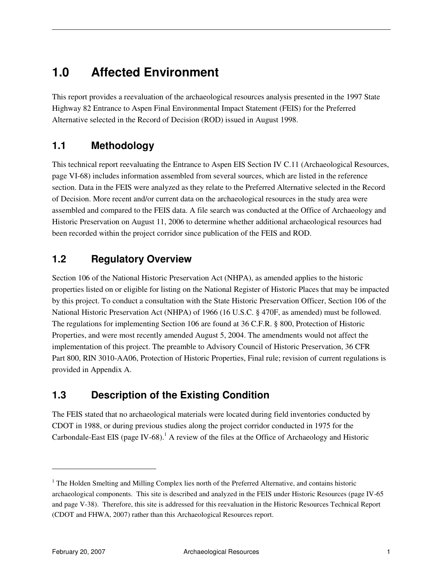# **1.0 Affected Environment**

This report provides a reevaluation of the archaeological resources analysis presented in the 1997 State Highway 82 Entrance to Aspen Final Environmental Impact Statement (FEIS) for the Preferred Alternative selected in the Record of Decision (ROD) issued in August 1998.

#### **1.1 Methodology**

This technical report reevaluating the Entrance to Aspen EIS Section IV C.11 (Archaeological Resources, page VI-68) includes information assembled from several sources, which are listed in the reference section. Data in the FEIS were analyzed as they relate to the Preferred Alternative selected in the Record of Decision. More recent and/or current data on the archaeological resources in the study area were assembled and compared to the FEIS data. A file search was conducted at the Office of Archaeology and Historic Preservation on August 11, 2006 to determine whether additional archaeological resources had been recorded within the project corridor since publication of the FEIS and ROD.

#### **1.2 Regulatory Overview**

Section 106 of the National Historic Preservation Act (NHPA), as amended applies to the historic properties listed on or eligible for listing on the National Register of Historic Places that may be impacted by this project. To conduct a consultation with the State Historic Preservation Officer, Section 106 of the National Historic Preservation Act (NHPA) of 1966 (16 U.S.C. § 470F, as amended) must be followed. The regulations for implementing Section 106 are found at 36 C.F.R. § 800, Protection of Historic Properties, and were most recently amended August 5, 2004. The amendments would not affect the implementation of this project. The preamble to Advisory Council of Historic Preservation, 36 CFR Part 800, RIN 3010-AA06, Protection of Historic Properties, Final rule; revision of current regulations is provided in Appendix A.

#### **1.3 Description of the Existing Condition**

The FEIS stated that no archaeological materials were located during field inventories conducted by CDOT in 1988, or during previous studies along the project corridor conducted in 1975 for the Carbondale-East EIS (page IV-68).<sup>1</sup> A review of the files at the Office of Archaeology and Historic

 $\overline{a}$ 

<sup>&</sup>lt;sup>1</sup> The Holden Smelting and Milling Complex lies north of the Preferred Alternative, and contains historic archaeological components. This site is described and analyzed in the FEIS under Historic Resources (page IV-65 and page V-38). Therefore, this site is addressed for this reevaluation in the Historic Resources Technical Report (CDOT and FHWA, 2007) rather than this Archaeological Resources report.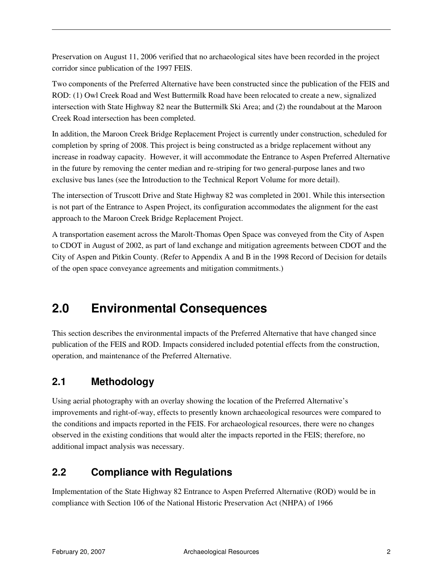Preservation on August 11, 2006 verified that no archaeological sites have been recorded in the project corridor since publication of the 1997 FEIS.

Two components of the Preferred Alternative have been constructed since the publication of the FEIS and ROD: (1) Owl Creek Road and West Buttermilk Road have been relocated to create a new, signalized intersection with State Highway 82 near the Buttermilk Ski Area; and (2) the roundabout at the Maroon Creek Road intersection has been completed.

In addition, the Maroon Creek Bridge Replacement Project is currently under construction, scheduled for completion by spring of 2008. This project is being constructed as a bridge replacement without any increase in roadway capacity. However, it will accommodate the Entrance to Aspen Preferred Alternative in the future by removing the center median and re-striping for two general-purpose lanes and two exclusive bus lanes (see the Introduction to the Technical Report Volume for more detail).

The intersection of Truscott Drive and State Highway 82 was completed in 2001. While this intersection is not part of the Entrance to Aspen Project, its configuration accommodates the alignment for the east approach to the Maroon Creek Bridge Replacement Project.

A transportation easement across the Marolt-Thomas Open Space was conveyed from the City of Aspen to CDOT in August of 2002, as part of land exchange and mitigation agreements between CDOT and the City of Aspen and Pitkin County. (Refer to Appendix A and B in the 1998 Record of Decision for details of the open space conveyance agreements and mitigation commitments.)

# **2.0 Environmental Consequences**

This section describes the environmental impacts of the Preferred Alternative that have changed since publication of the FEIS and ROD. Impacts considered included potential effects from the construction, operation, and maintenance of the Preferred Alternative.

#### **2.1 Methodology**

Using aerial photography with an overlay showing the location of the Preferred Alternative's improvements and right-of-way, effects to presently known archaeological resources were compared to the conditions and impacts reported in the FEIS. For archaeological resources, there were no changes observed in the existing conditions that would alter the impacts reported in the FEIS; therefore, no additional impact analysis was necessary.

#### **2.2 Compliance with Regulations**

Implementation of the State Highway 82 Entrance to Aspen Preferred Alternative (ROD) would be in compliance with Section 106 of the National Historic Preservation Act (NHPA) of 1966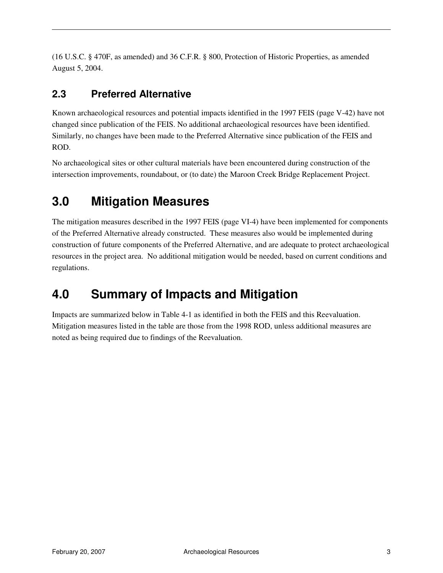(16 U.S.C. § 470F, as amended) and 36 C.F.R. § 800, Protection of Historic Properties, as amended August 5, 2004.

#### **2.3 Preferred Alternative**

Known archaeological resources and potential impacts identified in the 1997 FEIS (page V-42) have not changed since publication of the FEIS. No additional archaeological resources have been identified. Similarly, no changes have been made to the Preferred Alternative since publication of the FEIS and ROD.

No archaeological sites or other cultural materials have been encountered during construction of the intersection improvements, roundabout, or (to date) the Maroon Creek Bridge Replacement Project.

# **3.0 Mitigation Measures**

The mitigation measures described in the 1997 FEIS (page VI-4) have been implemented for components of the Preferred Alternative already constructed. These measures also would be implemented during construction of future components of the Preferred Alternative, and are adequate to protect archaeological resources in the project area. No additional mitigation would be needed, based on current conditions and regulations.

# **4.0 Summary of Impacts and Mitigation**

Impacts are summarized below in Table 4-1 as identified in both the FEIS and this Reevaluation. Mitigation measures listed in the table are those from the 1998 ROD, unless additional measures are noted as being required due to findings of the Reevaluation.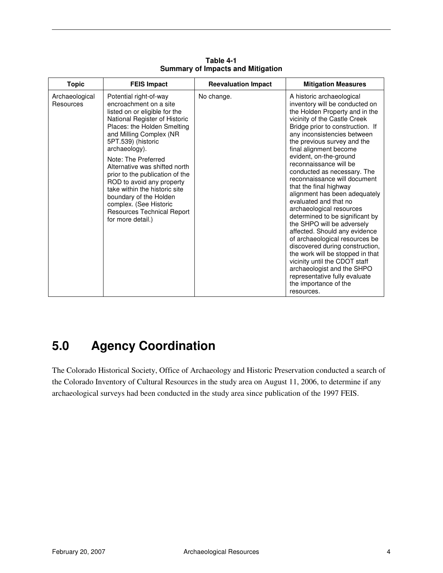| <b>Topic</b>                | <b>FEIS Impact</b>                                                                                                                                                                                                                                                                                                                                                                                                                                                                  | <b>Reevaluation Impact</b> | <b>Mitigation Measures</b>                                                                                                                                                                                                                                                                                                                                                                                                                                                                                                                                                                                                                                                                                                                                                                                                                     |
|-----------------------------|-------------------------------------------------------------------------------------------------------------------------------------------------------------------------------------------------------------------------------------------------------------------------------------------------------------------------------------------------------------------------------------------------------------------------------------------------------------------------------------|----------------------------|------------------------------------------------------------------------------------------------------------------------------------------------------------------------------------------------------------------------------------------------------------------------------------------------------------------------------------------------------------------------------------------------------------------------------------------------------------------------------------------------------------------------------------------------------------------------------------------------------------------------------------------------------------------------------------------------------------------------------------------------------------------------------------------------------------------------------------------------|
| Archaeological<br>Resources | Potential right-of-way<br>encroachment on a site<br>listed on or eligible for the<br>National Register of Historic<br>Places: the Holden Smelting<br>and Milling Complex (NR<br>5PT.539) (historic<br>archaeology).<br>Note: The Preferred<br>Alternative was shifted north<br>prior to the publication of the<br>ROD to avoid any property<br>take within the historic site<br>boundary of the Holden<br>complex. (See Historic<br>Resources Technical Report<br>for more detail.) | No change.                 | A historic archaeological<br>inventory will be conducted on<br>the Holden Property and in the<br>vicinity of the Castle Creek<br>Bridge prior to construction. If<br>any inconsistencies between<br>the previous survey and the<br>final alignment become<br>evident, on-the-ground<br>reconnaissance will be<br>conducted as necessary. The<br>reconnaissance will document<br>that the final highway<br>alignment has been adequately<br>evaluated and that no<br>archaeological resources<br>determined to be significant by<br>the SHPO will be adversely<br>affected. Should any evidence<br>of archaeological resources be<br>discovered during construction,<br>the work will be stopped in that<br>vicinity until the CDOT staff<br>archaeologist and the SHPO<br>representative fully evaluate<br>the importance of the<br>resources. |

**Table 4-1 Summary of Impacts and Mitigation** 

# **5.0 Agency Coordination**

The Colorado Historical Society, Office of Archaeology and Historic Preservation conducted a search of the Colorado Inventory of Cultural Resources in the study area on August 11, 2006, to determine if any archaeological surveys had been conducted in the study area since publication of the 1997 FEIS.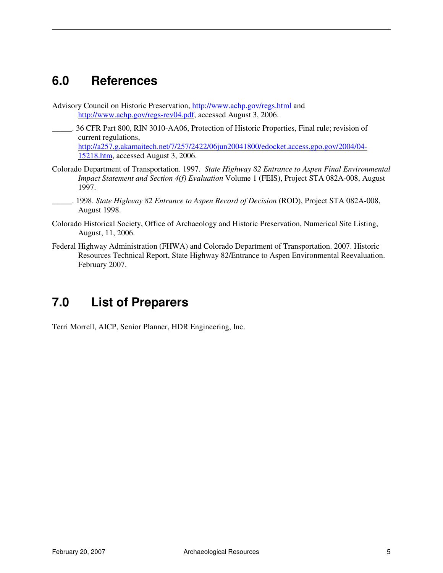### **6.0 References**

- Advisory Council on Historic Preservation, http://www.achp.gov/regs.html and http://www.achp.gov/regs-rev04.pdf, accessed August 3, 2006.
- \_\_\_\_\_. 36 CFR Part 800, RIN 3010-AA06, Protection of Historic Properties, Final rule; revision of current regulations, http://a257.g.akamaitech.net/7/257/2422/06jun20041800/edocket.access.gpo.gov/2004/04- 15218.htm, accessed August 3, 2006.
- Colorado Department of Transportation. 1997. *State Highway 82 Entrance to Aspen Final Environmental Impact Statement and Section 4(f) Evaluation* Volume 1 (FEIS), Project STA 082A-008, August 1997.
- \_\_\_\_\_. 1998. *State Highway 82 Entrance to Aspen Record of Decision* (ROD), Project STA 082A-008, August 1998.
- Colorado Historical Society, Office of Archaeology and Historic Preservation, Numerical Site Listing, August, 11, 2006.
- Federal Highway Administration (FHWA) and Colorado Department of Transportation. 2007. Historic Resources Technical Report, State Highway 82/Entrance to Aspen Environmental Reevaluation. February 2007.

# **7.0 List of Preparers**

Terri Morrell, AICP, Senior Planner, HDR Engineering, Inc.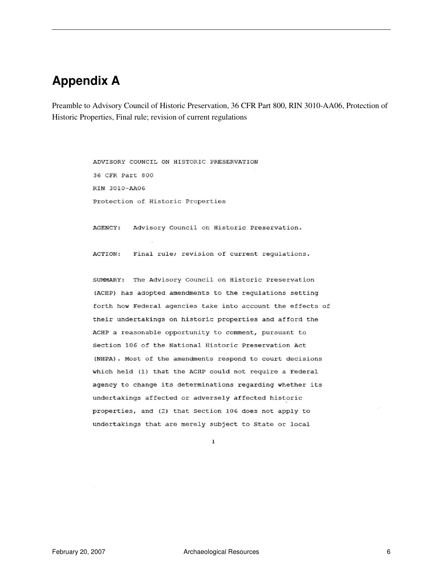### **Appendix A**

Preamble to Advisory Council of Historic Preservation, 36 CFR Part 800, RIN 3010-AA06, Protection of Historic Properties, Final rule; revision of current regulations

> ADVISORY COUNCIL ON HISTORIC PRESERVATION 36 CFR Part 800 RIN 3010-AA06 Protection of Historic Properties

AGENCY: Advisory Council on Historic Preservation.

ACTION: Final rule; revision of current regulations.

SUMMARY: The Advisory Council on Historic Preservation (ACHP) has adopted amendments to the regulations setting forth how Federal agencies take into account the effects of their undertakings on historic properties and afford the ACHP a reasonable opportunity to comment, pursuant to Section 106 of the National Historic Preservation Act (NHPA). Most of the amendments respond to court decisions which held (1) that the ACHP could not require a Federal agency to change its determinations regarding whether its undertakings affected or adversely affected historic properties, and (2) that Section 106 does not apply to undertakings that are merely subject to State or local

 $\mathbf 1$